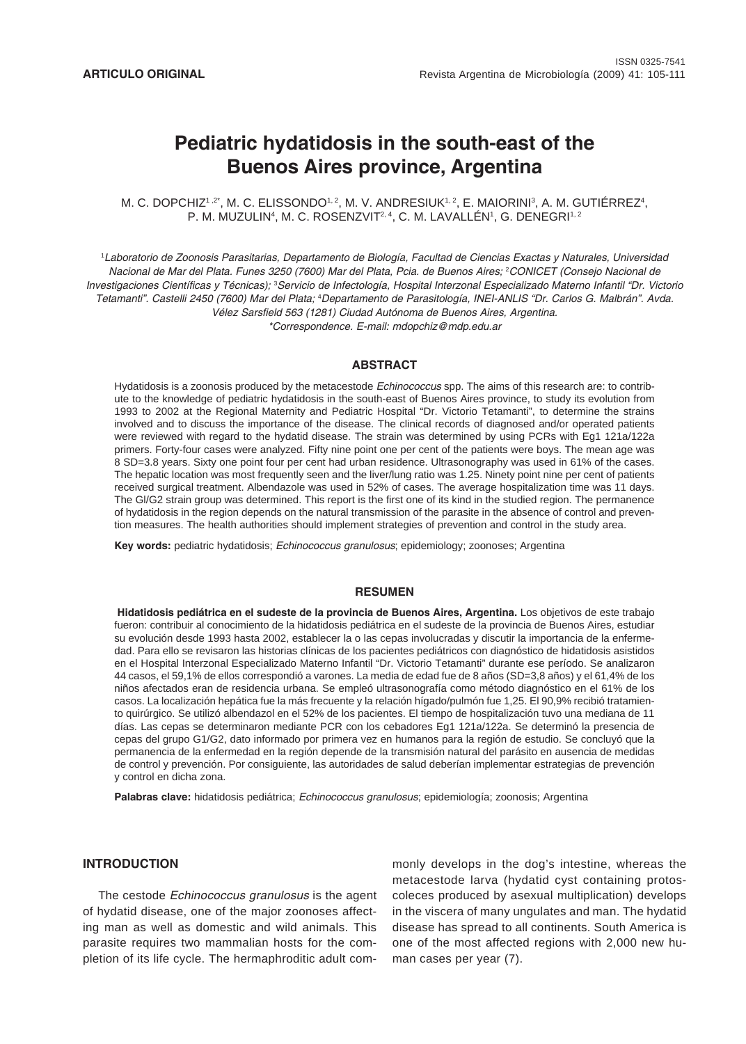# **Pediatric hydatidosis in the south-east of the Buenos Aires province, Argentina**

M. C. DOPCHIZ1 $\cdot$ 2\*, M. C. ELISSONDO $^{1,2}$ , M. V. ANDRESIUK $^{1,2}$ , E. MAIORINI $^3$ , A. M. GUTIERREZ $^4$ , P. M. MUZULIN<sup>4</sup>, M. C. ROSENZVIT<sup>2, 4</sup>, C. M. LAVALLEN', G. DENEGRI<sup>1, 2</sup>

1 *Laboratorio de Zoonosis Parasitarias, Departamento de Biología, Facultad de Ciencias Exactas y Naturales, Universidad Nacional de Mar del Plata. Funes 3250 (7600) Mar del Plata, Pcia. de Buenos Aires;* <sup>2</sup> *CONICET (Consejo Nacional de* Investigaciones Científicas y Técnicas); <sup>3</sup>Servicio de Infectología, Hospital Interzonal Especializado Materno Infantil "Dr. Victorio Tetamanti". Castelli 2450 (7600) Mar del Plata; <sup>4</sup>Departamento de Parasitología, INEI-ANLIS "Dr. Carlos G. Malbrán". Avda. *Vélez Sarsfield 563 (1281) Ciudad Autónoma de Buenos Aires, Argentina. \*Correspondence. E-mail: mdopchiz@mdp.edu.ar*

## **ABSTRACT**

Hydatidosis is a zoonosis produced by the metacestode *Echinococcus* spp. The aims of this research are: to contribute to the knowledge of pediatric hydatidosis in the south-east of Buenos Aires province, to study its evolution from 1993 to 2002 at the Regional Maternity and Pediatric Hospital "Dr. Victorio Tetamanti", to determine the strains involved and to discuss the importance of the disease. The clinical records of diagnosed and/or operated patients were reviewed with regard to the hydatid disease. The strain was determined by using PCRs with Eg1 121a/122a primers. Forty-four cases were analyzed. Fifty nine point one per cent of the patients were boys. The mean age was 8 SD=3.8 years. Sixty one point four per cent had urban residence. Ultrasonography was used in 61% of the cases. The hepatic location was most frequently seen and the liver/lung ratio was 1.25. Ninety point nine per cent of patients received surgical treatment. Albendazole was used in 52% of cases. The average hospitalization time was 11 days. The Gl/G2 strain group was determined. This report is the first one of its kind in the studied region. The permanence of hydatidosis in the region depends on the natural transmission of the parasite in the absence of control and prevention measures. The health authorities should implement strategies of prevention and control in the study area.

**Key words:** pediatric hydatidosis; *Echinococcus granulosus*; epidemiology; zoonoses; Argentina

# **RESUMEN**

 **Hidatidosis pediátrica en el sudeste de la provincia de Buenos Aires, Argentina.** Los objetivos de este trabajo fueron: contribuir al conocimiento de la hidatidosis pediátrica en el sudeste de la provincia de Buenos Aires, estudiar su evolución desde 1993 hasta 2002, establecer la o las cepas involucradas y discutir la importancia de la enfermedad. Para ello se revisaron las historias clínicas de los pacientes pediátricos con diagnóstico de hidatidosis asistidos en el Hospital Interzonal Especializado Materno Infantil "Dr. Victorio Tetamanti" durante ese período. Se analizaron 44 casos, el 59,1% de ellos correspondió a varones. La media de edad fue de 8 años (SD=3,8 años) y el 61,4% de los niños afectados eran de residencia urbana. Se empleó ultrasonografía como método diagnóstico en el 61% de los casos. La localización hepática fue la más frecuente y la relación hígado/pulmón fue 1,25. El 90,9% recibió tratamiento quirúrgico. Se utilizó albendazol en el 52% de los pacientes. El tiempo de hospitalización tuvo una mediana de 11 días. Las cepas se determinaron mediante PCR con los cebadores Eg1 121a/122a. Se determinó la presencia de cepas del grupo G1/G2, dato informado por primera vez en humanos para la región de estudio. Se concluyó que la permanencia de la enfermedad en la región depende de la transmisión natural del parásito en ausencia de medidas de control y prevención. Por consiguiente, las autoridades de salud deberían implementar estrategias de prevención y control en dicha zona.

**Palabras clave:** hidatidosis pediátrica; *Echinococcus granulosus*; epidemiología; zoonosis; Argentina

# **INTRODUCTION**

The cestode *Echinococcus granulosus* is the agent of hydatid disease, one of the major zoonoses affecting man as well as domestic and wild animals. This parasite requires two mammalian hosts for the completion of its life cycle. The hermaphroditic adult commonly develops in the dog's intestine, whereas the metacestode larva (hydatid cyst containing protoscoleces produced by asexual multiplication) develops in the viscera of many ungulates and man. The hydatid disease has spread to all continents. South America is one of the most affected regions with 2,000 new human cases per year (7).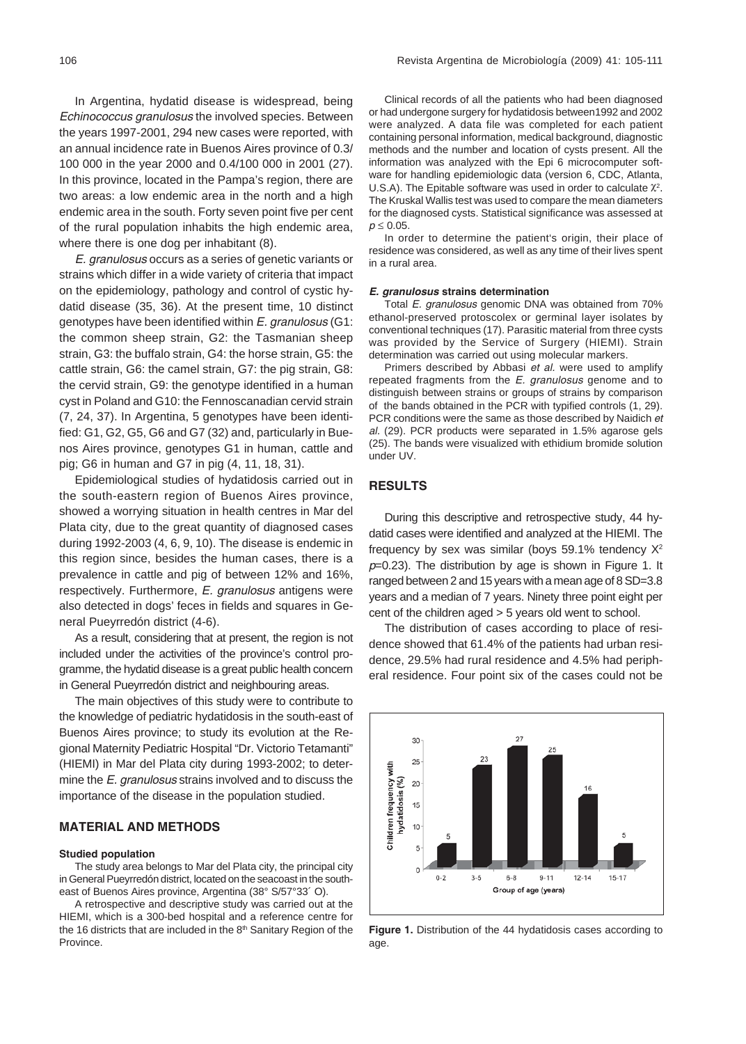In Argentina, hydatid disease is widespread, being *Echinococcus granulosus* the involved species. Between the years 1997-2001, 294 new cases were reported, with an annual incidence rate in Buenos Aires province of 0.3/ 100 000 in the year 2000 and 0.4/100 000 in 2001 (27). In this province, located in the Pampa's region, there are two areas: a low endemic area in the north and a high endemic area in the south. Forty seven point five per cent of the rural population inhabits the high endemic area, where there is one dog per inhabitant (8).

*E. granulosus* occurs as a series of genetic variants or strains which differ in a wide variety of criteria that impact on the epidemiology, pathology and control of cystic hydatid disease (35, 36). At the present time, 10 distinct genotypes have been identified within *E. granulosus* (G1: the common sheep strain, G2: the Tasmanian sheep strain, G3: the buffalo strain, G4: the horse strain, G5: the cattle strain, G6: the camel strain, G7: the pig strain, G8: the cervid strain, G9: the genotype identified in a human cyst in Poland and G10: the Fennoscanadian cervid strain (7, 24, 37). In Argentina, 5 genotypes have been identified: G1, G2, G5, G6 and G7 (32) and, particularly in Buenos Aires province, genotypes G1 in human, cattle and pig; G6 in human and G7 in pig (4, 11, 18, 31).

Epidemiological studies of hydatidosis carried out in the south-eastern region of Buenos Aires province, showed a worrying situation in health centres in Mar del Plata city, due to the great quantity of diagnosed cases during 1992-2003 (4, 6, 9, 10). The disease is endemic in this region since, besides the human cases, there is a prevalence in cattle and pig of between 12% and 16%, respectively. Furthermore, *E. granulosus* antigens were also detected in dogs' feces in fields and squares in General Pueyrredón district (4-6).

As a result, considering that at present, the region is not included under the activities of the province's control programme, the hydatid disease is a great public health concern in General Pueyrredón district and neighbouring areas.

The main objectives of this study were to contribute to the knowledge of pediatric hydatidosis in the south-east of Buenos Aires province; to study its evolution at the Regional Maternity Pediatric Hospital "Dr. Victorio Tetamanti" (HIEMI) in Mar del Plata city during 1993-2002; to determine the *E. granulosus* strains involved and to discuss the importance of the disease in the population studied.

# **MATERIAL AND METHODS**

#### **Studied population**

The study area belongs to Mar del Plata city, the principal city in General Pueyrredón district, located on the seacoast in the southeast of Buenos Aires province, Argentina (38° S/57°33´ O).

A retrospective and descriptive study was carried out at the HIEMI, which is a 300-bed hospital and a reference centre for the 16 districts that are included in the  $8<sup>th</sup>$  Sanitary Region of the Province.

Clinical records of all the patients who had been diagnosed or had undergone surgery for hydatidosis between1992 and 2002 were analyzed. A data file was completed for each patient containing personal information, medical background, diagnostic methods and the number and location of cysts present. All the information was analyzed with the Epi 6 microcomputer software for handling epidemiologic data (version 6, CDC, Atlanta, U.S.A). The Epitable software was used in order to calculate  $\chi^2$ . The Kruskal Wallis test was used to compare the mean diameters for the diagnosed cysts. Statistical significance was assessed at *p* ≤ 0.05.

In order to determine the patient's origin, their place of residence was considered, as well as any time of their lives spent in a rural area.

### *E. granulosus* **strains determination**

Total *E. granulosus* genomic DNA was obtained from 70% ethanol-preserved protoscolex or germinal layer isolates by conventional techniques (17). Parasitic material from three cysts was provided by the Service of Surgery (HIEMI). Strain determination was carried out using molecular markers.

Primers described by Abbasi *et al.* were used to amplify repeated fragments from the *E. granulosus* genome and to distinguish between strains or groups of strains by comparison of the bands obtained in the PCR with typified controls (1, 29). PCR conditions were the same as those described by Naidich *et al.* (29). PCR products were separated in 1.5% agarose gels (25). The bands were visualized with ethidium bromide solution under UV.

# **RESULTS**

During this descriptive and retrospective study, 44 hydatid cases were identified and analyzed at the HIEMI. The frequency by sex was similar (boys 59.1% tendency  $X^2$ *p*=0.23). The distribution by age is shown in Figure 1. It ranged between 2 and 15 years with a mean age of 8 SD=3.8 years and a median of 7 years. Ninety three point eight per cent of the children aged > 5 years old went to school.

The distribution of cases according to place of residence showed that 61.4% of the patients had urban residence, 29.5% had rural residence and 4.5% had peripheral residence. Four point six of the cases could not be



**Figure 1.** Distribution of the 44 hydatidosis cases according to age.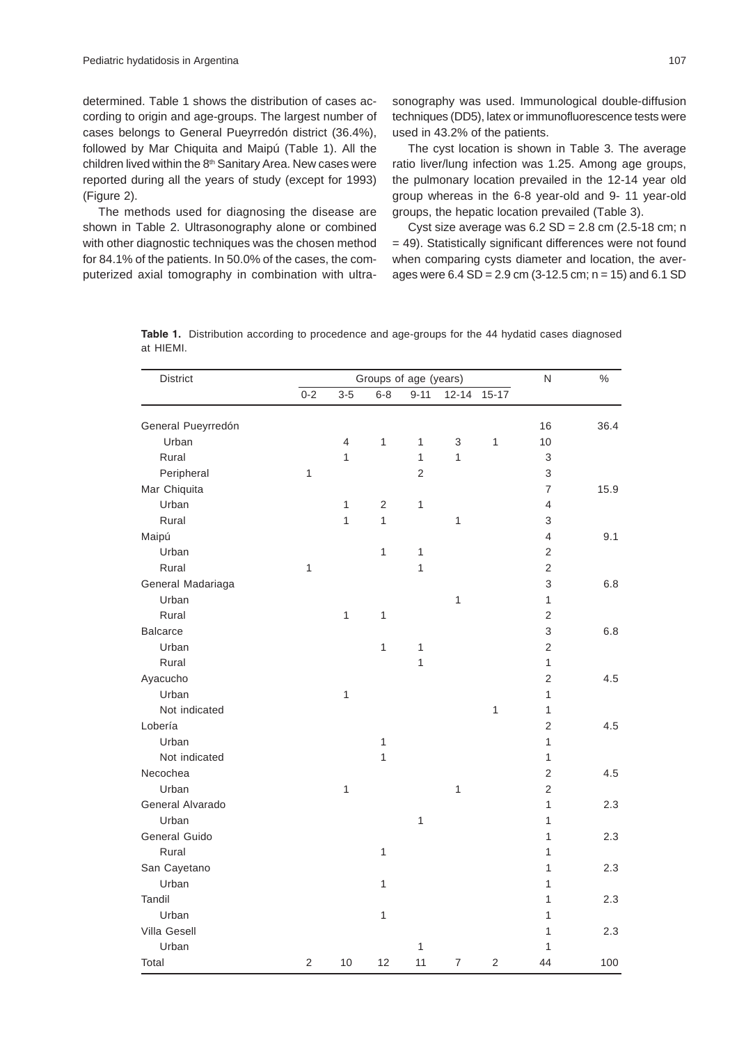determined. Table 1 shows the distribution of cases according to origin and age-groups. The largest number of cases belongs to General Pueyrredón district (36.4%), followed by Mar Chiquita and Maipú (Table 1). All the children lived within the 8<sup>th</sup> Sanitary Area. New cases were reported during all the years of study (except for 1993) (Figure 2).

The methods used for diagnosing the disease are shown in Table 2. Ultrasonography alone or combined with other diagnostic techniques was the chosen method for 84.1% of the patients. In 50.0% of the cases, the computerized axial tomography in combination with ultrasonography was used. Immunological double-diffusion techniques (DD5), latex or immunofluorescence tests were used in 43.2% of the patients.

The cyst location is shown in Table 3. The average ratio liver/lung infection was 1.25. Among age groups, the pulmonary location prevailed in the 12-14 year old group whereas in the 6-8 year-old and 9- 11 year-old groups, the hepatic location prevailed (Table 3).

Cyst size average was  $6.2$  SD =  $2.8$  cm  $(2.5-18$  cm; n = 49). Statistically significant differences were not found when comparing cysts diameter and location, the averages were  $6.4$  SD =  $2.9$  cm (3-12.5 cm; n = 15) and  $6.1$  SD

|           | Table 1. Distribution according to procedence and age-groups for the 44 hydatid cases diagnosed |  |  |  |  |
|-----------|-------------------------------------------------------------------------------------------------|--|--|--|--|
| at HIEMI. |                                                                                                 |  |  |  |  |

| District           |                |                |                | Groups of age (years) |                |                | $\mathsf{N}$   | $\frac{0}{0}$ |
|--------------------|----------------|----------------|----------------|-----------------------|----------------|----------------|----------------|---------------|
|                    | $0 - 2$        | $3-5$          | $6 - 8$        | $9 - 11$              | $12 - 14$      | $15 - 17$      |                |               |
| General Pueyrredón |                |                |                |                       |                |                | 16             | 36.4          |
| Urban              |                | $\overline{4}$ | $\mathbf{1}$   | $\mathbf{1}$          | 3              | $\mathbf{1}$   | 10             |               |
| Rural              |                | $\mathbf{1}$   |                | $\mathbf{1}$          | 1              |                | 3              |               |
| Peripheral         | 1              |                |                | $\overline{2}$        |                |                | 3              |               |
| Mar Chiquita       |                |                |                |                       |                |                | $\overline{7}$ | 15.9          |
| Urban              |                | $\mathbf{1}$   | $\overline{2}$ | $\mathbf{1}$          |                |                | $\overline{4}$ |               |
| Rural              |                | $\mathbf{1}$   | 1              |                       | $\mathbf{1}$   |                | 3              |               |
| Maipú              |                |                |                |                       |                |                | $\overline{4}$ | 9.1           |
| Urban              |                |                | $\mathbf{1}$   | $\mathbf{1}$          |                |                | $\overline{2}$ |               |
| Rural              | 1              |                |                | $\mathbf{1}$          |                |                | $\overline{2}$ |               |
| General Madariaga  |                |                |                |                       |                |                | 3              | 6.8           |
| Urban              |                |                |                |                       | $\mathbf{1}$   |                | $\mathbf{1}$   |               |
| Rural              |                | $\mathbf{1}$   | $\mathbf{1}$   |                       |                |                | $\mathbf 2$    |               |
| <b>Balcarce</b>    |                |                |                |                       |                |                | 3              | 6.8           |
| Urban              |                |                | $\mathbf{1}$   | $\mathbf{1}$          |                |                | $\overline{2}$ |               |
| Rural              |                |                |                | $\overline{1}$        |                |                | $\mathbf{1}$   |               |
| Ayacucho           |                |                |                |                       |                |                | $\mathbf 2$    | 4.5           |
| Urban              |                | $\mathbf{1}$   |                |                       |                |                | $\mathbf{1}$   |               |
| Not indicated      |                |                |                |                       |                | $\mathbf{1}$   | $\mathbf{1}$   |               |
| Lobería            |                |                |                |                       |                |                | $\overline{2}$ | 4.5           |
| Urban              |                |                | $\mathbf{1}$   |                       |                |                | 1              |               |
| Not indicated      |                |                | $\mathbf{1}$   |                       |                |                | $\mathbf{1}$   |               |
| Necochea           |                |                |                |                       |                |                | 2              | 4.5           |
| Urban              |                | $\mathbf{1}$   |                |                       | 1              |                | 2              |               |
| General Alvarado   |                |                |                |                       |                |                | 1              | 2.3           |
| Urban              |                |                |                | $\mathbf{1}$          |                |                | 1              |               |
| General Guido      |                |                |                |                       |                |                | 1              | 2.3           |
| Rural              |                |                | $\mathbf{1}$   |                       |                |                | 1              |               |
| San Cayetano       |                |                |                |                       |                |                | 1              | 2.3           |
| Urban              |                |                | $\mathbf{1}$   |                       |                |                | 1              |               |
| Tandil             |                |                |                |                       |                |                | 1              | 2.3           |
| Urban              |                |                | $\mathbf 1$    |                       |                |                | 1              |               |
| Villa Gesell       |                |                |                |                       |                |                | 1              | 2.3           |
| Urban              |                |                |                | $\mathbf{1}$          |                |                | 1              |               |
| Total              | $\overline{2}$ | 10             | 12             | 11                    | $\overline{7}$ | $\overline{2}$ | 44             | 100           |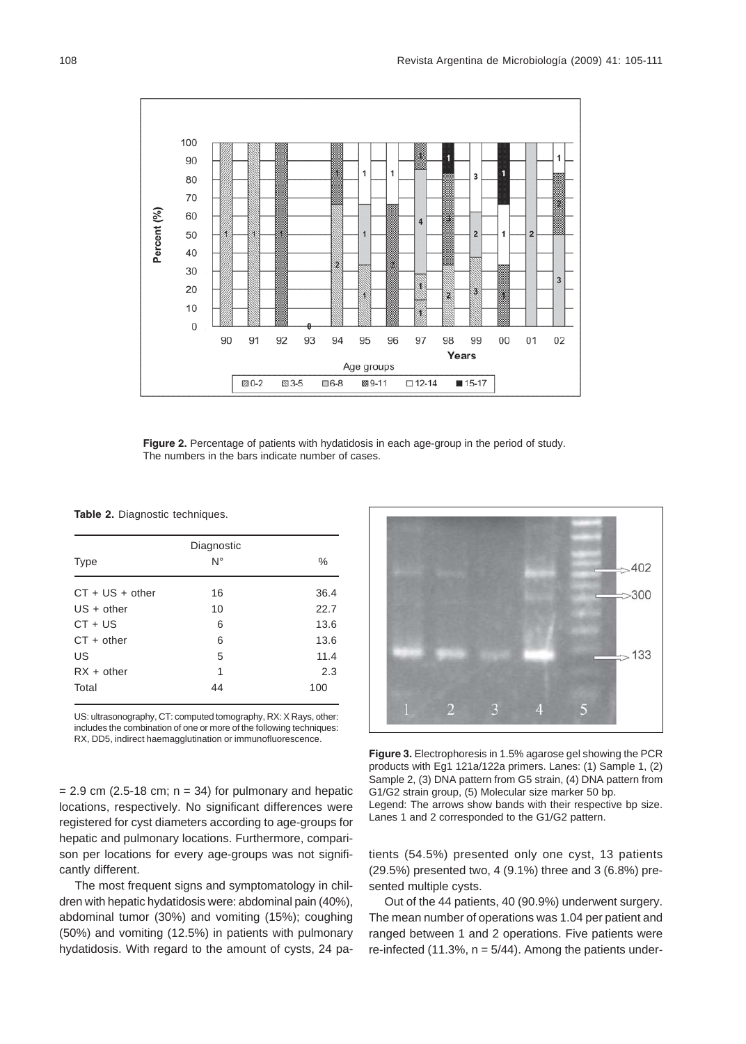

**Figure 2.** Percentage of patients with hydatidosis in each age-group in the period of study. The numbers in the bars indicate number of cases.

**Table 2.** Diagnostic techniques.

| Diagnostic        |    |      |  |  |  |  |  |  |
|-------------------|----|------|--|--|--|--|--|--|
| <b>Type</b>       | N° | $\%$ |  |  |  |  |  |  |
| $CT + US + other$ | 16 | 36.4 |  |  |  |  |  |  |
| $US + other$      | 10 | 22.7 |  |  |  |  |  |  |
| $CT + US$         | 6  | 13.6 |  |  |  |  |  |  |
| $CT + other$      | 6  | 13.6 |  |  |  |  |  |  |
| US                | 5  | 11.4 |  |  |  |  |  |  |
| $RX + other$      | 1  | 2.3  |  |  |  |  |  |  |
| Total             | 44 | 100  |  |  |  |  |  |  |

US: ultrasonography, CT: computed tomography, RX: X Rays, other: includes the combination of one or more of the following techniques: RX, DD5, indirect haemagglutination or immunofluorescence.

 $= 2.9$  cm (2.5-18 cm;  $n = 34$ ) for pulmonary and hepatic locations, respectively. No significant differences were registered for cyst diameters according to age-groups for hepatic and pulmonary locations. Furthermore, comparison per locations for every age-groups was not significantly different.

The most frequent signs and symptomatology in children with hepatic hydatidosis were: abdominal pain (40%), abdominal tumor (30%) and vomiting (15%); coughing (50%) and vomiting (12.5%) in patients with pulmonary hydatidosis. With regard to the amount of cysts, 24 pa-



**Figure 3.** Electrophoresis in 1.5% agarose gel showing the PCR products with Eg1 121a/122a primers. Lanes: (1) Sample 1, (2) Sample 2, (3) DNA pattern from G5 strain, (4) DNA pattern from G1/G2 strain group, (5) Molecular size marker 50 bp. Legend: The arrows show bands with their respective bp size. Lanes 1 and 2 corresponded to the G1/G2 pattern.

tients (54.5%) presented only one cyst, 13 patients (29.5%) presented two, 4 (9.1%) three and 3 (6.8%) presented multiple cysts.

Out of the 44 patients, 40 (90.9%) underwent surgery. The mean number of operations was 1.04 per patient and ranged between 1 and 2 operations. Five patients were re-infected (11.3%,  $n = 5/44$ ). Among the patients under-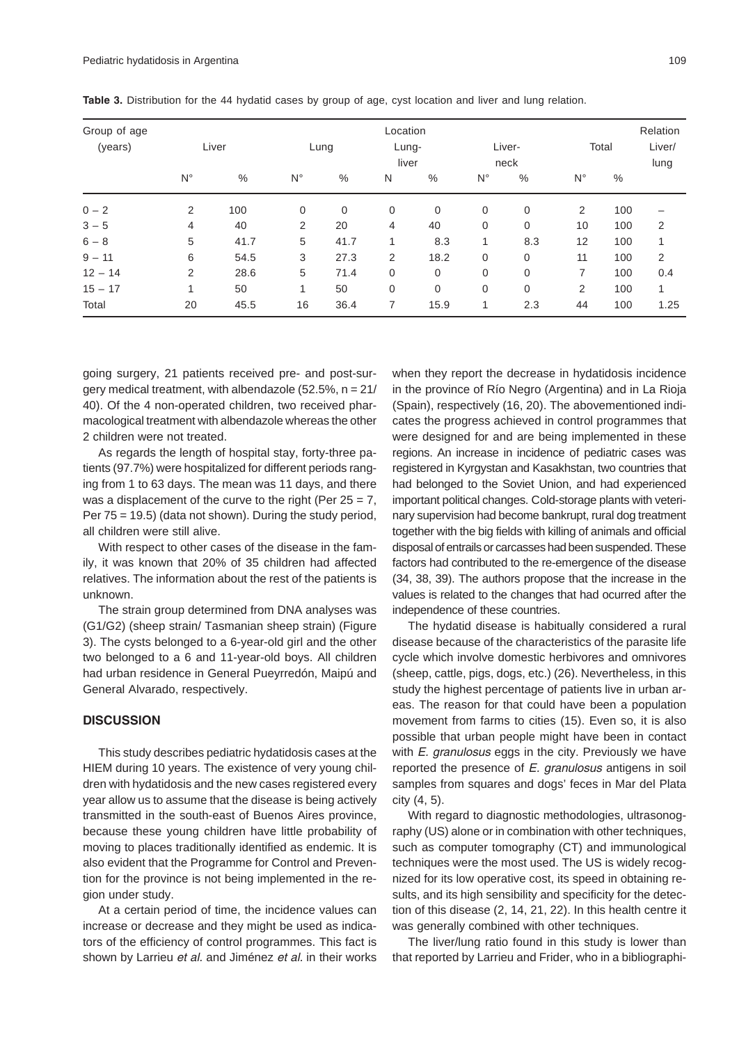| Group of age<br>(years) | Liver          |      | Lung           |      | Location<br>Lung-<br>liver |             | Liver-<br>neck |             | Total       |     | Relation<br>Liver/<br>lung |
|-------------------------|----------------|------|----------------|------|----------------------------|-------------|----------------|-------------|-------------|-----|----------------------------|
|                         | $N^{\circ}$    | $\%$ | $N^{\circ}$    | %    | N                          | %           | $N^{\circ}$    | $\%$        | $N^{\circ}$ | %   |                            |
| $0 - 2$                 | 2              | 100  | $\mathbf 0$    | 0    | $\mathbf 0$                | $\mathbf 0$ | $\mathbf 0$    | $\mathbf 0$ | 2           | 100 |                            |
| $3 - 5$                 | $\overline{4}$ | 40   | $\overline{2}$ | 20   | 4                          | 40          | 0              | 0           | 10          | 100 | 2                          |
| $6 - 8$                 | 5              | 41.7 | 5              | 41.7 | 1                          | 8.3         | 1              | 8.3         | 12          | 100 | 1                          |
| $9 - 11$                | 6              | 54.5 | 3              | 27.3 | 2                          | 18.2        | 0              | $\mathbf 0$ | 11          | 100 | 2                          |
| $12 - 14$               | 2              | 28.6 | 5              | 71.4 | 0                          | 0           | $\mathbf 0$    | 0           | 7           | 100 | 0.4                        |
| $15 - 17$               | 1              | 50   | 1              | 50   | 0                          | 0           | $\mathbf 0$    | 0           | 2           | 100 | 1                          |
| Total                   | 20             | 45.5 | 16             | 36.4 | 7                          | 15.9        | 1              | 2.3         | 44          | 100 | 1.25                       |

**Table 3.** Distribution for the 44 hydatid cases by group of age, cyst location and liver and lung relation.

going surgery, 21 patients received pre- and post-surgery medical treatment, with albendazole (52.5%, n = 21/ 40). Of the 4 non-operated children, two received pharmacological treatment with albendazole whereas the other 2 children were not treated.

As regards the length of hospital stay, forty-three patients (97.7%) were hospitalized for different periods ranging from 1 to 63 days. The mean was 11 days, and there was a displacement of the curve to the right (Per  $25 = 7$ , Per 75 = 19.5) (data not shown). During the study period, all children were still alive.

With respect to other cases of the disease in the family, it was known that 20% of 35 children had affected relatives. The information about the rest of the patients is unknown.

The strain group determined from DNA analyses was (G1/G2) (sheep strain/ Tasmanian sheep strain) (Figure 3). The cysts belonged to a 6-year-old girl and the other two belonged to a 6 and 11-year-old boys. All children had urban residence in General Pueyrredón, Maipú and General Alvarado, respectively.

## **DISCUSSION**

This study describes pediatric hydatidosis cases at the HIEM during 10 years. The existence of very young children with hydatidosis and the new cases registered every year allow us to assume that the disease is being actively transmitted in the south-east of Buenos Aires province, because these young children have little probability of moving to places traditionally identified as endemic. It is also evident that the Programme for Control and Prevention for the province is not being implemented in the region under study.

At a certain period of time, the incidence values can increase or decrease and they might be used as indicators of the efficiency of control programmes. This fact is shown by Larrieu *et al.* and Jiménez *et al.* in their works when they report the decrease in hydatidosis incidence in the province of Río Negro (Argentina) and in La Rioja (Spain), respectively (16, 20). The abovementioned indicates the progress achieved in control programmes that were designed for and are being implemented in these regions. An increase in incidence of pediatric cases was registered in Kyrgystan and Kasakhstan, two countries that had belonged to the Soviet Union, and had experienced important political changes. Cold-storage plants with veterinary supervision had become bankrupt, rural dog treatment together with the big fields with killing of animals and official disposal of entrails or carcasses had been suspended. These factors had contributed to the re-emergence of the disease (34, 38, 39). The authors propose that the increase in the values is related to the changes that had ocurred after the independence of these countries.

The hydatid disease is habitually considered a rural disease because of the characteristics of the parasite life cycle which involve domestic herbivores and omnivores (sheep, cattle, pigs, dogs, etc.) (26). Nevertheless, in this study the highest percentage of patients live in urban areas. The reason for that could have been a population movement from farms to cities (15). Even so, it is also possible that urban people might have been in contact with *E. granulosus* eggs in the city. Previously we have reported the presence of *E. granulosus* antigens in soil samples from squares and dogs' feces in Mar del Plata city (4, 5).

With regard to diagnostic methodologies, ultrasonography (US) alone or in combination with other techniques, such as computer tomography (CT) and immunological techniques were the most used. The US is widely recognized for its low operative cost, its speed in obtaining results, and its high sensibility and specificity for the detection of this disease (2, 14, 21, 22). In this health centre it was generally combined with other techniques.

The liver/lung ratio found in this study is lower than that reported by Larrieu and Frider, who in a bibliographi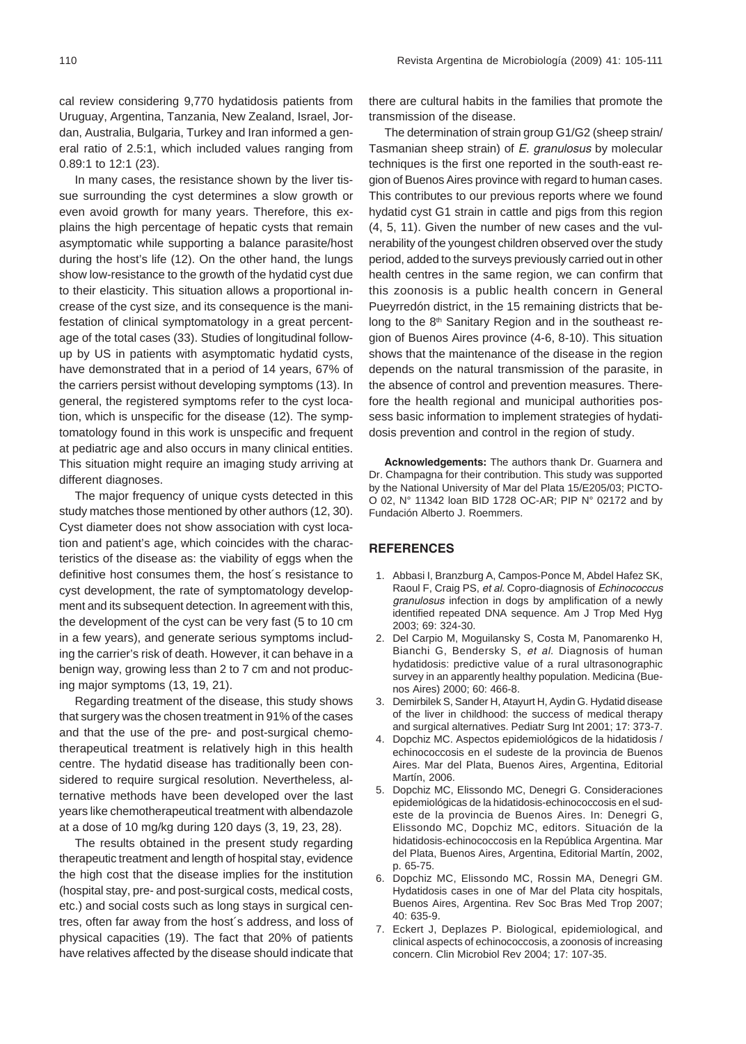cal review considering 9,770 hydatidosis patients from Uruguay, Argentina, Tanzania, New Zealand, Israel, Jordan, Australia, Bulgaria, Turkey and Iran informed a general ratio of 2.5:1, which included values ranging from 0.89:1 to 12:1 (23).

In many cases, the resistance shown by the liver tissue surrounding the cyst determines a slow growth or even avoid growth for many years. Therefore, this explains the high percentage of hepatic cysts that remain asymptomatic while supporting a balance parasite/host during the host's life (12). On the other hand, the lungs show low-resistance to the growth of the hydatid cyst due to their elasticity. This situation allows a proportional increase of the cyst size, and its consequence is the manifestation of clinical symptomatology in a great percentage of the total cases (33). Studies of longitudinal followup by US in patients with asymptomatic hydatid cysts, have demonstrated that in a period of 14 years, 67% of the carriers persist without developing symptoms (13). In general, the registered symptoms refer to the cyst location, which is unspecific for the disease (12). The symptomatology found in this work is unspecific and frequent at pediatric age and also occurs in many clinical entities. This situation might require an imaging study arriving at different diagnoses.

The major frequency of unique cysts detected in this study matches those mentioned by other authors (12, 30). Cyst diameter does not show association with cyst location and patient's age, which coincides with the characteristics of the disease as: the viability of eggs when the definitive host consumes them, the host´s resistance to cyst development, the rate of symptomatology development and its subsequent detection. In agreement with this, the development of the cyst can be very fast (5 to 10 cm in a few years), and generate serious symptoms including the carrier's risk of death. However, it can behave in a benign way, growing less than 2 to 7 cm and not producing major symptoms (13, 19, 21).

Regarding treatment of the disease, this study shows that surgery was the chosen treatment in 91% of the cases and that the use of the pre- and post-surgical chemotherapeutical treatment is relatively high in this health centre. The hydatid disease has traditionally been considered to require surgical resolution. Nevertheless, alternative methods have been developed over the last years like chemotherapeutical treatment with albendazole at a dose of 10 mg/kg during 120 days (3, 19, 23, 28).

The results obtained in the present study regarding therapeutic treatment and length of hospital stay, evidence the high cost that the disease implies for the institution (hospital stay, pre- and post-surgical costs, medical costs, etc.) and social costs such as long stays in surgical centres, often far away from the host´s address, and loss of physical capacities (19). The fact that 20% of patients have relatives affected by the disease should indicate that there are cultural habits in the families that promote the transmission of the disease.

The determination of strain group G1/G2 (sheep strain/ Tasmanian sheep strain) of *E. granulosus* by molecular techniques is the first one reported in the south-east region of Buenos Aires province with regard to human cases. This contributes to our previous reports where we found hydatid cyst G1 strain in cattle and pigs from this region (4, 5, 11). Given the number of new cases and the vulnerability of the youngest children observed over the study period, added to the surveys previously carried out in other health centres in the same region, we can confirm that this zoonosis is a public health concern in General Pueyrredón district, in the 15 remaining districts that belong to the 8<sup>th</sup> Sanitary Region and in the southeast region of Buenos Aires province (4-6, 8-10). This situation shows that the maintenance of the disease in the region depends on the natural transmission of the parasite, in the absence of control and prevention measures. Therefore the health regional and municipal authorities possess basic information to implement strategies of hydatidosis prevention and control in the region of study.

**Acknowledgements:** The authors thank Dr. Guarnera and Dr. Champagna for their contribution. This study was supported by the National University of Mar del Plata 15/E205/03; PICTO-O 02, N° 11342 loan BID 1728 OC-AR; PIP N° 02172 and by Fundación Alberto J. Roemmers.

## **REFERENCES**

- 1. Abbasi I, Branzburg A, Campos-Ponce M, Abdel Hafez SK, Raoul F, Craig PS, *et al*. Copro-diagnosis of *Echinococcus granulosus* infection in dogs by amplification of a newly identified repeated DNA sequence. Am J Trop Med Hyg 2003; 69: 324-30.
- 2. Del Carpio M, Moguilansky S, Costa M, Panomarenko H, Bianchi G, Bendersky S, *et al*. Diagnosis of human hydatidosis: predictive value of a rural ultrasonographic survey in an apparently healthy population. Medicina (Buenos Aires) 2000; 60: 466-8.
- 3. Demirbilek S, Sander H, Atayurt H, Aydin G. Hydatid disease of the liver in childhood: the success of medical therapy and surgical alternatives. Pediatr Surg Int 2001; 17: 373-7.
- 4. Dopchiz MC. Aspectos epidemiológicos de la hidatidosis / echinococcosis en el sudeste de la provincia de Buenos Aires*.* Mar del Plata, Buenos Aires, Argentina, Editorial Martín, 2006.
- 5. Dopchiz MC, Elissondo MC, Denegri G. Consideraciones epidemiológicas de la hidatidosis-echinococcosis en el sudeste de la provincia de Buenos Aires. In: Denegri G, Elissondo MC, Dopchiz MC, editors. Situación de la hidatidosis-echinococcosis en la República Argentina. Mar del Plata, Buenos Aires, Argentina, Editorial Martín, 2002, p. 65-75.
- 6. Dopchiz MC, Elissondo MC, Rossin MA, Denegri GM. Hydatidosis cases in one of Mar del Plata city hospitals, Buenos Aires, Argentina. Rev Soc Bras Med Trop 2007; 40: 635-9*.*
- 7. Eckert J, Deplazes P. Biological, epidemiological, and clinical aspects of echinococcosis, a zoonosis of increasing concern. Clin Microbiol Rev 2004; 17: 107-35.